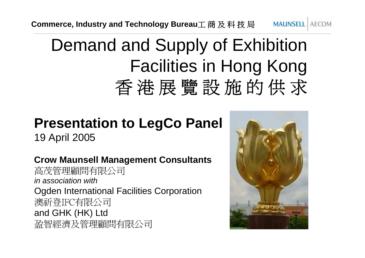## Demand and Supply of Exhibition Facilities in Hong Kong<br>香港展覽設施的供求

### **Presentation to LegCo Panel**

19 April 2005

**Crow Maunsell Management Consultants** 高茂管理顧問有限公司 *in association with*Ogden International Facilities Corporation<br>澳祈登IFC有限公司<br>and GHK (HK) Ltd<br>盈智經濟及管理顧問有限公司

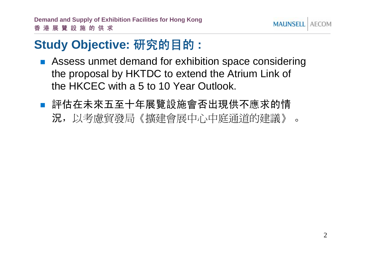

#### **Study Objective:** 研究的目的 **:**

- **EXTERGHE Assess unmet demand for exhibition space considering** the proposal by HKTDC to extend the Atrium Link of the HKCEC with a 5 to 10 Year Outlook.
- 評估在未來五至十年展覽設施會否出現供不應求的情 評估在未來五至十年展覽設施會否出現供不應求的情<br>況,以考慮貿發局《擴建會展中心中庭通道的建議》 。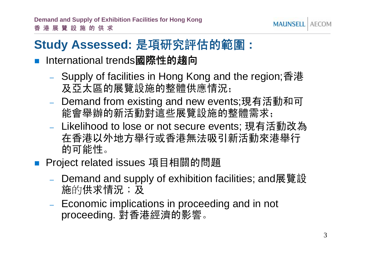#### **MAUNSEL**

### **Study Assessed:** 是項研究評估的範圍 **:**

- ! International trends國際性的趨向
	- Supply of facilities in Hong Kong and the region;香港 及亞太區的展覽設施的整體供應情況;
	- Demand from existing and new events;現有活動和可 能會舉辦的新活動對這些展覽設施的整體需求;
	- Likelihood to lose or not secure events; 現有活動改為 在香港以外地方舉行或香港無法吸引新活動來港舉行 的可能性。

■ Project related issues 項目相關的問題

- Demand and supply of exhibition facilities; and展覽設 的供求情況;<sup>及</sup> 施的供求情況;及
- Economic implications in proceeding and in not proceeding. 對香港經濟的影響。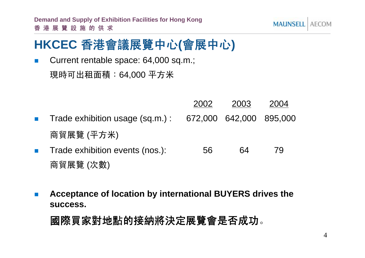#### **MAUNSEL AFCOM**

#### **HKCEC** 香港會議展覽中心**(**會展中心**)**

! Current rentable space: 64,000 sq.m.; 現時可出租面積:64,000 平方米

- 2002 2003 2004 ! Trade exhibition usage (sq.m.) : 672,000 642,000 895,000 商貿展覽 (平方米) **.** Trade exhibition events (nos.):  $\overline{56}$  64 79
- 商貿展覽 (次數)
- ! **Acceptance of location by international BUYERS drives the success.**

國際買家對地點的接納將決定展覽會是否成功。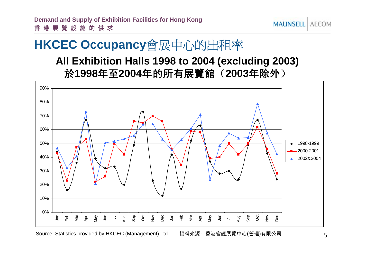# **HKCEC Occupancy會展中心的出租率**<br> **HKCEC Occupancy會展中心的出租率**

#### **All Exhibition Halls 1998 to 2004 (excluding 2003)** 於**1998**年至**2004**年的所有展覽館(**2003**年除外)



Source: Statistics provided by HKCEC (Management) Ltd 資料來源:香港會議展覽中心(管理)有限公司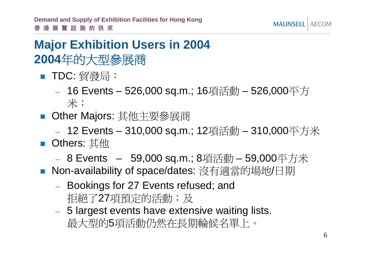#### **Major Exhibition Users in 2004** <mark>Major Exhibition Users ir</mark><br>2004年的大型參展商 2004年的大型參展商

- TDC: 貿發局:
- –<sup>-</sup>DC: 貿發局:<br>- 16 Events – 526,000 sq.m.; 16項活動 – 526,000平方<br> 米; – 10 Lvonto 1020,000 5q.m., 10⊊<br>米;<br>Other Majors: 其他主要參展商
- 
- –)ther Majors: 其他主要參展商<br>-  12 Events – 310,000 sq.m.; 12項活動 – 310,000平方米 - 12 Events – 310<br>■ Others: 其他
- Others: 其他
- 0thers: 其他<br>- 8 Events 59,000 sq.m.; 8項活動 59,000平方米 - 8 Events - 59,000 sq.m.; 8項活動 - 59,000平方米<br>■ Non-availability of space/dates: 沒有適當的場地/日期
- Non-availability of space/dates: 沒有適當的場地/日期
	- –- Bookings for 27 Events refused; and<br>拒絕了27項預定的活動; 及
	- –5 largest events have extensive waiting lists. 最大型的5項活動仍然在長期輪候名單上。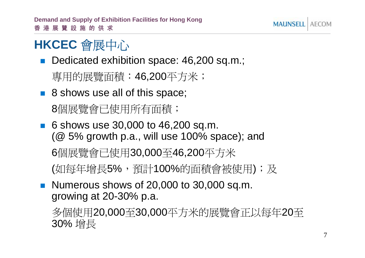### **HKCEC** 會展中心

!■ Dedicated exhibition space: 46,200 sq.m.;<br>專用的展覽面積: 46,200平方米;

■ 8 shows use all of this space;<br>8個展覽會已使用所有面積;

- $\blacksquare$  6 shows use 30,000 to 46,200 sq.m. (@ 5% growth p.a., will use 100% space); and <sup>6</sup>個展覽會已使用30,000 至46,200平方米 6個展覽會已使用30,000至46,200平方米<br>(如每年增長5%,預計100%的面積會被使用);及
- **Numerous shows of 20,000 to 30,000 sq.m.**

growing at 20-30% p.a.<br>多個使用20,000至30,000平方米的展覽會正以每年20至<br>2004. 增長 g.ow.ng at 20 00% p.a.<br>多個使用20,000至30,000平方米的展覽會正以每年20至<br>30% 增長 個使用20,000<br>%增長

**MAUNSEL**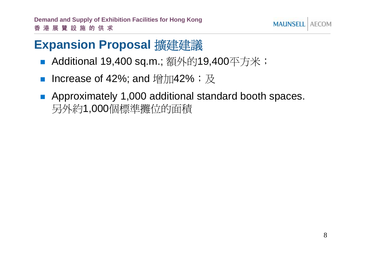

#### **Expansion Proposal 擴建建議**

- !:**xpansion Proposal 擴建建議**<br>■ Additional 19,400 sq.m.; 額外的19,400平方米;
- !■ Additional 19,400 sq.m.; 額外的19,400牛乃<br>■ Increase of 42%; and 增加42%;及
- Approximately 1,000 additional standard booth spaces.<br>另外約1,000個標準攤位的面積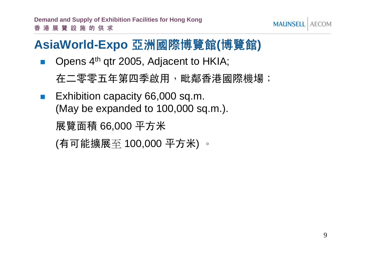### **AsiaWorld-Expo** 亞洲國際博覽館**(**博覽館**)**

!Opens 4<sup>th</sup> qtr 2005, Adjacent to HKIA;

在二零零五年第四季啟用,毗鄰香港國際機場;

! Exhibition capacity 66,000 sq.m. (May be expanded to 100,000 sq.m.). 展覽面積 66,000 平方米

```
(有可能擴展至 100,000 平方米) 。
```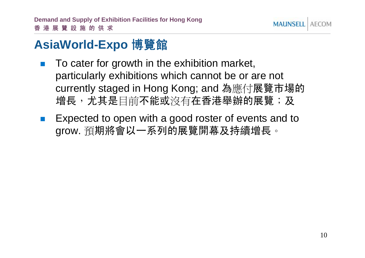

#### **AsiaWorld-Expo** 博覽館

- To cater for growth in the exhibition market, particularly exhibitions which cannot be or are not currently staged in Hong Kong; and 為應付展覽市場的<br>增長,尤其是目前不能或沒有在香港舉辦的展覽;及
- Expected to open with a good roster of events and to grow. 預期將會以一系列的展覽開幕及持續增長。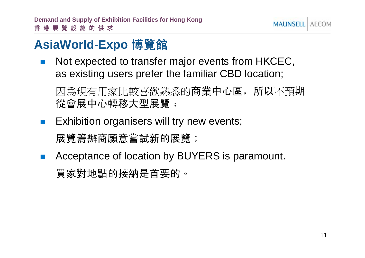**MAUNSELL AFCOM** 

### **AsiaWorld-Expo** 博覽館

!Not expected to transfer major events from HKCEC,

as existing users prefer the familiar CBD location;<br>因爲現有用家比較喜歡熟悉的商業中心區,所以不預期<br>從會展中心轉移大型展覽﹔

- ! Exhibition organisers will try new events; 展覽籌辦商願意嘗試新的展覽;
- ! Acceptance of location by BUYERS is paramount. 買家對地點的接納是首要的。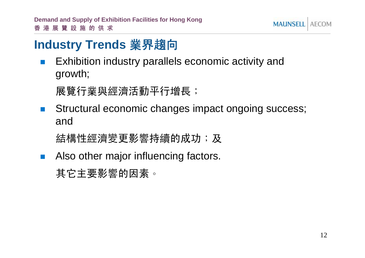

#### **Industry Trends** 業界趨向

! Exhibition industry parallels economic activity and growth;

展覽行業與經濟活動平行增長;

! Structural economic changes impact ongoing success; and

結構性經濟變更影響持續的成功;及

!Also other major influencing factors.

其它主要影響的因素。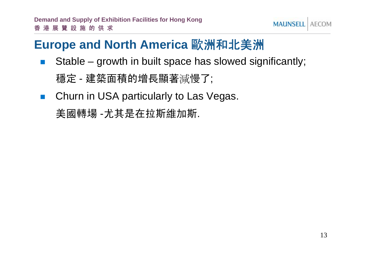#### **Europe and North America** 歐洲和北美洲

!Stable – growth in built space has slowed significantly;

穩定 - 建築面積的增長顯著減慢了;

!Churn in USA particularly to Las Vegas.

美國轉場 -尤其是在拉斯維加斯.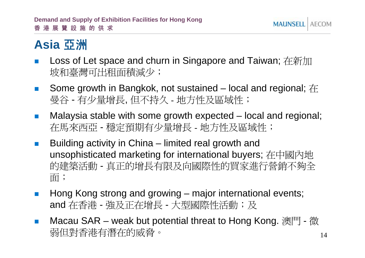#### **Asia** 亞洲

- !Loss of Let space and churn in Singapore and Taiwan; 在新加<br>坡和臺灣可出租面積減少;
- !■ Some growth in Bangkok, not sustained – local and regional; <sup>在</sup> 曼谷 - 有少量增長, 但不持久 - 地方性及區域性;
- !曼谷 - 有少量增長, 但不持久 - 地方性及區域性;<br>Malaysia stable with some growth expected – local and regional;<br>在馬來西亞 - 穩定預期有少量增長 - 地方性及區域性;
- **.**  Building activity in China – limited real growth and unsophisticated marketing for international buyers; 在中國內地 的建築活動 - 真正的增長有限及向國際性的買家進行營銷不夠全 面;
- **.** ■ Hong Kong strong and growing – major international events; Hong Kong strong and growing – major international eve<br>and 在香港 - 強及正在增長 - 大型國際性活動;及
- !and 在香港 - 強及正在增長 - 大型國際性活動;及<br>■ Macau SAR – weak but potential threat to Hong Kong. 澳門 - 微 and <sub>仕貸</sub>審 - <sub>旭</sub>以正仕増長 - 八聖國除性伯動,及<br>Macau SAR – weak but potential threat to Hong Kong. 澳門 - 微<br>弱但對香港有潛在的威脅。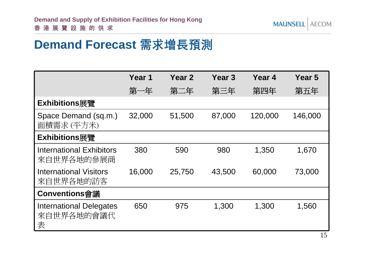#### **Demand Forecast** 需求增長預測

|                                                   | Year 1 | Year <sub>2</sub> | Year <sub>3</sub> | Year 4  | Year 5  |
|---------------------------------------------------|--------|-------------------|-------------------|---------|---------|
|                                                   | 第一年    | 第二年               | 第三年               | 第四年     | 第五年     |
| Exhibitions展覽                                     |        |                   |                   |         |         |
| Space Demand (sq.m.)<br>面積需求 (平方米)                | 32,000 | 51,500            | 87,000            | 120,000 | 146,000 |
| Exhibitions展覽                                     |        |                   |                   |         |         |
| <b>International Exhibitors</b><br>來自世界各地的參展商     | 380    | 590               | 980               | 1,350   | 1,670   |
| <b>International Visitors</b><br>來自世界各地的訪客        | 16,000 | 25,750            | 43,500            | 60,000  | 73,000  |
| Conventions會議                                     |        |                   |                   |         |         |
| <b>International Delegates</b><br>來自世界各地的會議代<br>表 | 650    | 975               | 1,300             | 1,300   | 1,560   |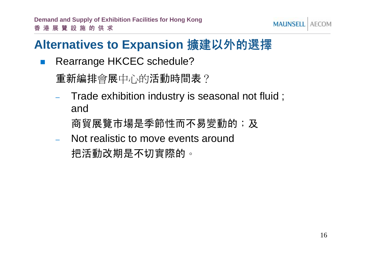

#### **Alternatives to Expansion** 擴建以外的選擇

!Rearrange HKCEC schedule?

重新編排會展中心的活動時間表?

- – Trade exhibition industry is seasonal not fluid ; and
	- 商貿展覽市場是季節性而不易變動的;及
- – Not realistic to move events around 把活動改期是不切實際的。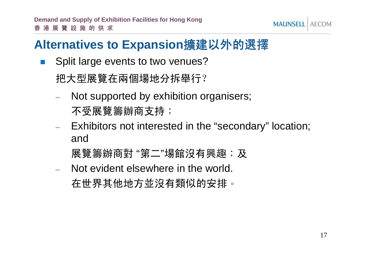

#### **Alternatives to Expansion**擴建以外的選擇

!Split large events to two venues?

把大型展覽在兩個場地分拆舉行?

- – Not supported by exhibition organisers; 不受展覽籌辦商支持;
- – Exhibitors not interested in the "secondary" location; and
	- 展覽籌辦商對 "第二"場館沒有興趣; 及
- – Not evident elsewhere in the world. 在世界其他地方並沒有類似的安排。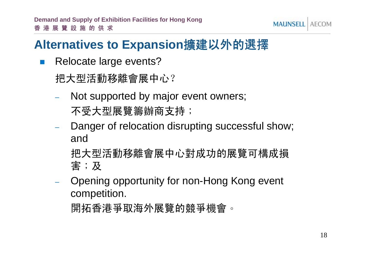#### **MAUNSELL AFCOM**

#### **Alternatives to Expansion**擴建以外的選擇

!Relocate large events?

把大型活動移離會展中心?

- Not supported by major event owners; 不受大型展覽籌辦商支持;
- Danger of relocation disrupting successful show; and

把大型活動移離會展中心對成功的展覽可構成損 害;及

 Opening opportunity for non-Hong Kong event competition.

開拓香港爭取海外展覽的競爭機會。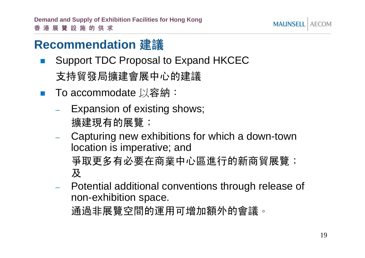

#### **Recommendation** 建議

- ! Support TDC Proposal to Expand HKCEC 支持貿發局擴建會展中心的建議
- ! To accommodate 以<sup>容</sup>納:
	- – Expansion of existing shows; 擴建現有的展覽;
	- – Capturing new exhibitions for which a down-town location is imperative; and 爭取更多有必要在商業中心區進行的新商貿展覽; 及
	- – Potential additional conventions through release of non-exhibition space.

通過非展覽空間的運用可增加額外的會議。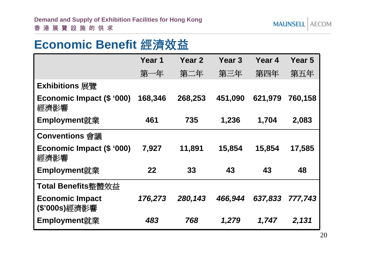#### **Economic Benefit** 經濟效益

|                                         | Year 1  | Year <sub>2</sub> | Year 3  | Year 4  | Year 5  |
|-----------------------------------------|---------|-------------------|---------|---------|---------|
|                                         | 第一年     | 第二年               | 第三年     | 第四年     | 第五年     |
| Exhibitions 展覽                          |         |                   |         |         |         |
| Economic Impact (\$ '000)<br>經濟影響       | 168,346 | 268,253           | 451,090 | 621,979 | 760,158 |
| Employment就業                            | 461     | 735               | 1,236   | 1,704   | 2,083   |
| <b>Conventions 會議</b>                   |         |                   |         |         |         |
| Economic Impact (\$ '000)<br>經濟影響       | 7,927   | 11,891            | 15,854  | 15,854  | 17,585  |
| Employment就業                            | 22      | 33                | 43      | 43      | 48      |
| Total Benefits整體效益                      |         |                   |         |         |         |
| <b>Economic Impact</b><br>(\$'000s)經濟影響 | 176,273 | 280,143           | 466,944 | 637,833 | 777,743 |
| Employment就業                            | 483     | 768               | 1,279   | 1,747   | 2,131   |

20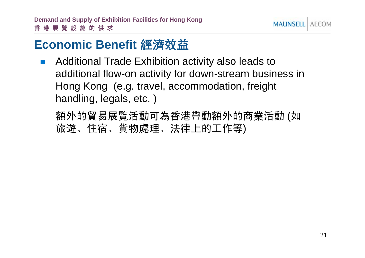

#### **Economic Benefit** 經濟效益

**.**  Additional Trade Exhibition activity also leads to additional flow-on activity for down-stream business in Hong Kong (e.g. travel, accommodation, freight handling, legals, etc. )

額外的貿易展覽活動可為香港帶動額外的商業活動 (如 旅遊、住宿、貨物處理、法律上的工作等)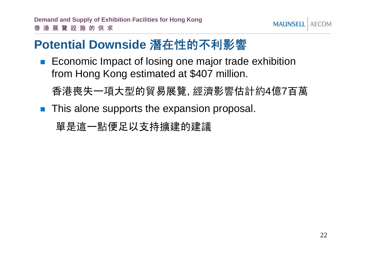**MAUNSELL** AFCOM

#### **Potential Downside** 潛在性的不利影響

**Example Economic Impact of losing one major trade exhibition** from Hong Kong estimated at \$407 million.

香港喪失一項大型的貿易展覽, 經濟影響估計約4億7百萬

**This alone supports the expansion proposal.** 

單是這一點便足以支持擴建的建議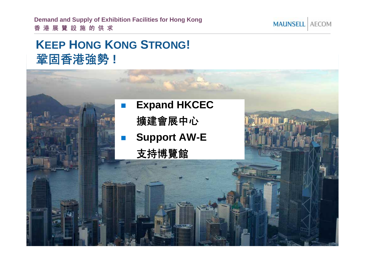**Demand and Supply of Exhibition Facilities for Hong Kong** 香港展覽設施的供求

#### **KEEP HONG KONG STRONG!** 鞏固香港強勢 **!**

## ! **Expand HKCEC** 擴建會展中心 **. Support AW-E** 支持博覽館

**MAUNSELL** AECOM